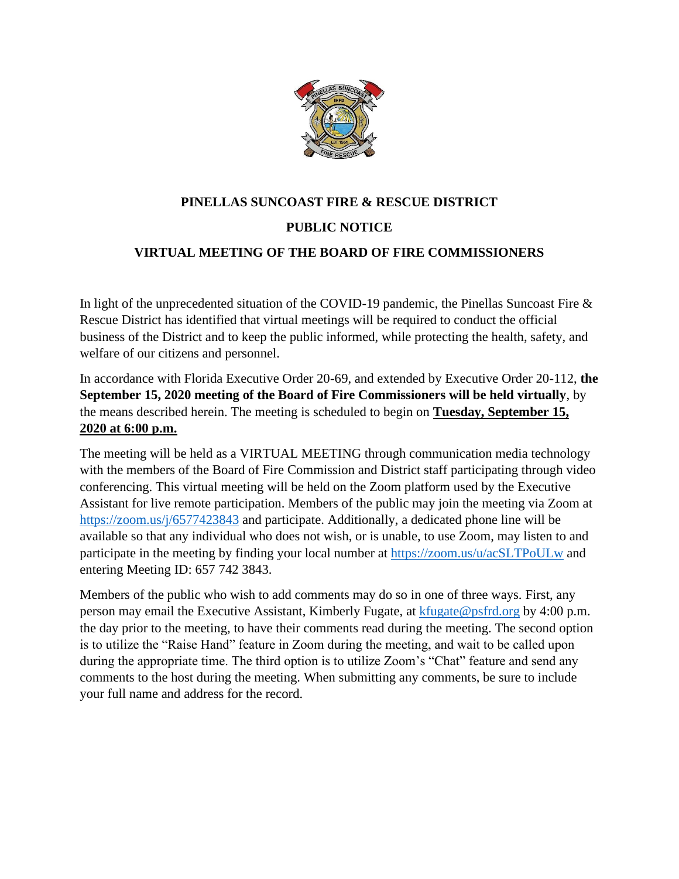

# **PINELLAS SUNCOAST FIRE & RESCUE DISTRICT PUBLIC NOTICE VIRTUAL MEETING OF THE BOARD OF FIRE COMMISSIONERS**

In light of the unprecedented situation of the COVID-19 pandemic, the Pinellas Suncoast Fire & Rescue District has identified that virtual meetings will be required to conduct the official business of the District and to keep the public informed, while protecting the health, safety, and welfare of our citizens and personnel.

In accordance with Florida Executive Order 20-69, and extended by Executive Order 20-112, **the September 15, 2020 meeting of the Board of Fire Commissioners will be held virtually**, by the means described herein. The meeting is scheduled to begin on **Tuesday, September 15, 2020 at 6:00 p.m.**

The meeting will be held as a VIRTUAL MEETING through communication media technology with the members of the Board of Fire Commission and District staff participating through video conferencing. This virtual meeting will be held on the Zoom platform used by the Executive Assistant for live remote participation. Members of the public may join the meeting via Zoom at <https://zoom.us/j/6577423843> and participate. Additionally, a dedicated phone line will be available so that any individual who does not wish, or is unable, to use Zoom, may listen to and participate in the meeting by finding your local number at<https://zoom.us/u/acSLTPoULw> and entering Meeting ID: 657 742 3843.

Members of the public who wish to add comments may do so in one of three ways. First, any person may email the Executive Assistant, Kimberly Fugate, at [kfugate@psfrd.org](mailto:kfugate@psfrd.org) by 4:00 p.m. the day prior to the meeting, to have their comments read during the meeting. The second option is to utilize the "Raise Hand" feature in Zoom during the meeting, and wait to be called upon during the appropriate time. The third option is to utilize Zoom's "Chat" feature and send any comments to the host during the meeting. When submitting any comments, be sure to include your full name and address for the record.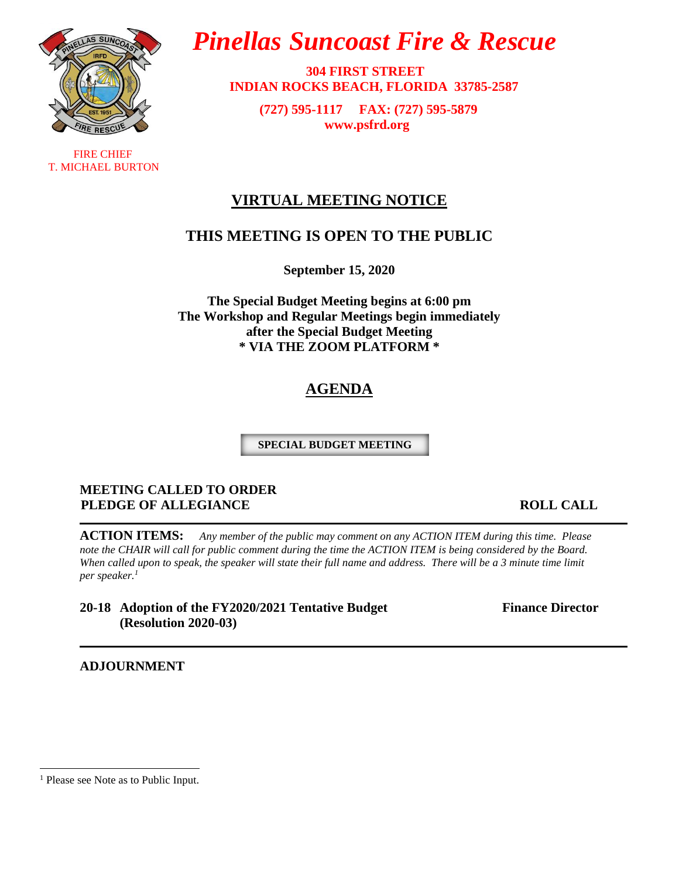

 FIRE CHIEF T. MICHAEL BURTON

# *Pinellas Suncoast Fire & Rescue*

 **304 FIRST STREET INDIAN ROCKS BEACH, FLORIDA 33785-2587**

> **(727) 595-1117 FAX: (727) 595-5879 [www.psfrd.org](http://www.psfrd.org/)**

### **VIRTUAL MEETING NOTICE**

### **THIS MEETING IS OPEN TO THE PUBLIC**

**September 15, 2020**

**The Special Budget Meeting begins at 6:00 pm The Workshop and Regular Meetings begin immediately after the Special Budget Meeting \* VIA THE ZOOM PLATFORM \***

# **AGENDA**

**SPECIAL BUDGET MEETING**

#### **MEETING CALLED TO ORDER PLEDGE OF ALLEGIANCE EXECUTE: ROLL CALL**

**ACTION ITEMS:** *Any member of the public may comment on any ACTION ITEM during this time. Please*  note the CHAIR will call for public comment during the time the ACTION ITEM is being considered by the Board. When called upon to speak, the speaker will state their full name and address. There will be a 3 minute time limit *per speaker.<sup>1</sup>*

**20-18 Adoption of the FY2020/2021 Tentative Budget Finance Director (Resolution 2020-03)**

**ADJOURNMENT**

<sup>&</sup>lt;sup>1</sup> Please see Note as to Public Input.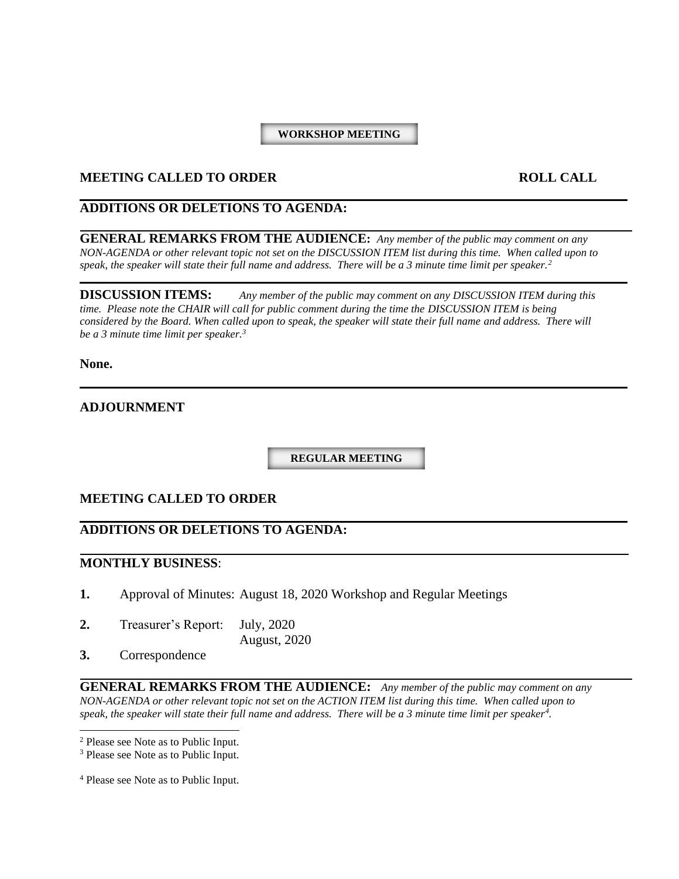#### **WORKSHOP MEETING**

#### **MEETING CALLED TO ORDER ROLL CALL**

#### **ADDITIONS OR DELETIONS TO AGENDA:**

**GENERAL REMARKS FROM THE AUDIENCE:** *Any member of the public may comment on any NON-AGENDA or other relevant topic not set on the DISCUSSION ITEM list during this time. When called upon to speak, the speaker will state their full name and address. There will be a 3 minute time limit per speaker.<sup>2</sup>*

**DISCUSSION ITEMS:** *Any member of the public may comment on any DISCUSSION ITEM during this time. Please note the CHAIR will call for public comment during the time the DISCUSSION ITEM is being considered by the Board. When called upon to speak, the speaker will state their full name and address. There will be a 3 minute time limit per speaker.<sup>3</sup>*

**None.**

#### **ADJOURNMENT**

**REGULAR MEETING**

#### **MEETING CALLED TO ORDER**

#### **ADDITIONS OR DELETIONS TO AGENDA:**

#### **MONTHLY BUSINESS**:

- **1.** Approval of Minutes: August 18, 2020 Workshop and Regular Meetings
- **2.** Treasurer's Report: July, 2020

August, 2020

**3.** Correspondence

**GENERAL REMARKS FROM THE AUDIENCE:** *Any member of the public may comment on any NON-AGENDA or other relevant topic not set on the ACTION ITEM list during this time. When called upon to speak, the speaker will state their full name and address. There will be a 3 minute time limit per speaker<sup>4</sup> .*

<sup>2</sup> Please see Note as to Public Input.

<sup>&</sup>lt;sup>3</sup> Please see Note as to Public Input.

<sup>4</sup> Please see Note as to Public Input.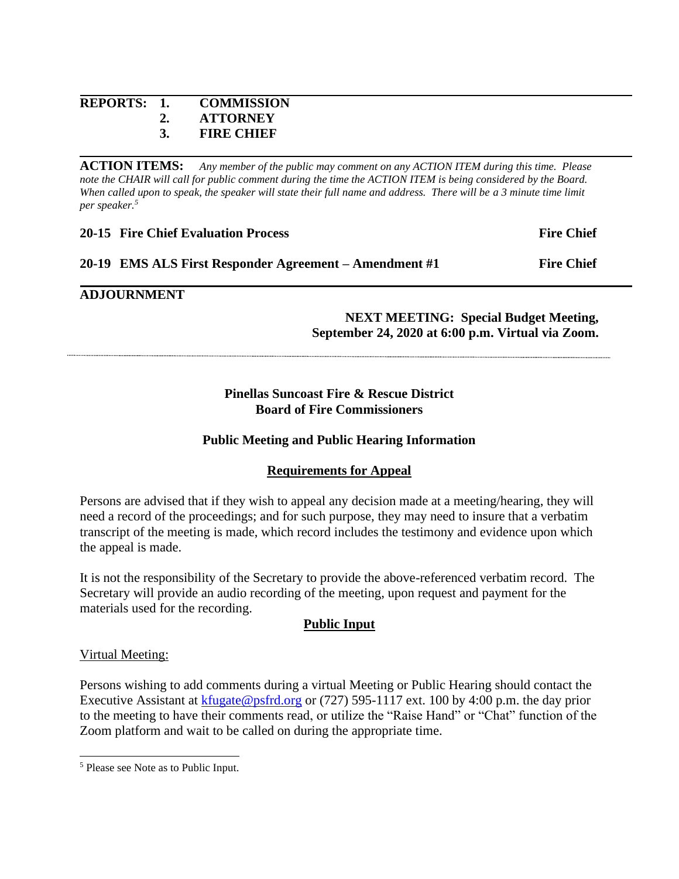#### **REPORTS: 1. COMMISSION 2. ATTORNEY 3. FIRE CHIEF**

**ACTION ITEMS:** *Any member of the public may comment on any ACTION ITEM during this time. Please*  note the CHAIR will call for public comment during the time the ACTION ITEM is being considered by the Board. *When called upon to speak, the speaker will state their full name and address. There will be a 3 minute time limit per speaker.<sup>5</sup>*

| <b>20-15 Fire Chief Evaluation Process</b>             | <b>Fire Chief</b> |
|--------------------------------------------------------|-------------------|
| 20-19 EMS ALS First Responder Agreement – Amendment #1 | <b>Fire Chief</b> |

#### **ADJOURNMENT**

#### **NEXT MEETING: Special Budget Meeting, September 24, 2020 at 6:00 p.m. Virtual via Zoom.**

#### **Pinellas Suncoast Fire & Rescue District Board of Fire Commissioners**

#### **Public Meeting and Public Hearing Information**

#### **Requirements for Appeal**

Persons are advised that if they wish to appeal any decision made at a meeting/hearing, they will need a record of the proceedings; and for such purpose, they may need to insure that a verbatim transcript of the meeting is made, which record includes the testimony and evidence upon which the appeal is made.

It is not the responsibility of the Secretary to provide the above-referenced verbatim record. The Secretary will provide an audio recording of the meeting, upon request and payment for the materials used for the recording.

#### **Public Input**

#### Virtual Meeting:

Persons wishing to add comments during a virtual Meeting or Public Hearing should contact the Executive Assistant at [kfugate@psfrd.org](mailto:kfugate@psfrd.org) or (727) 595-1117 ext. 100 by 4:00 p.m. the day prior to the meeting to have their comments read, or utilize the "Raise Hand" or "Chat" function of the Zoom platform and wait to be called on during the appropriate time.

<sup>5</sup> Please see Note as to Public Input.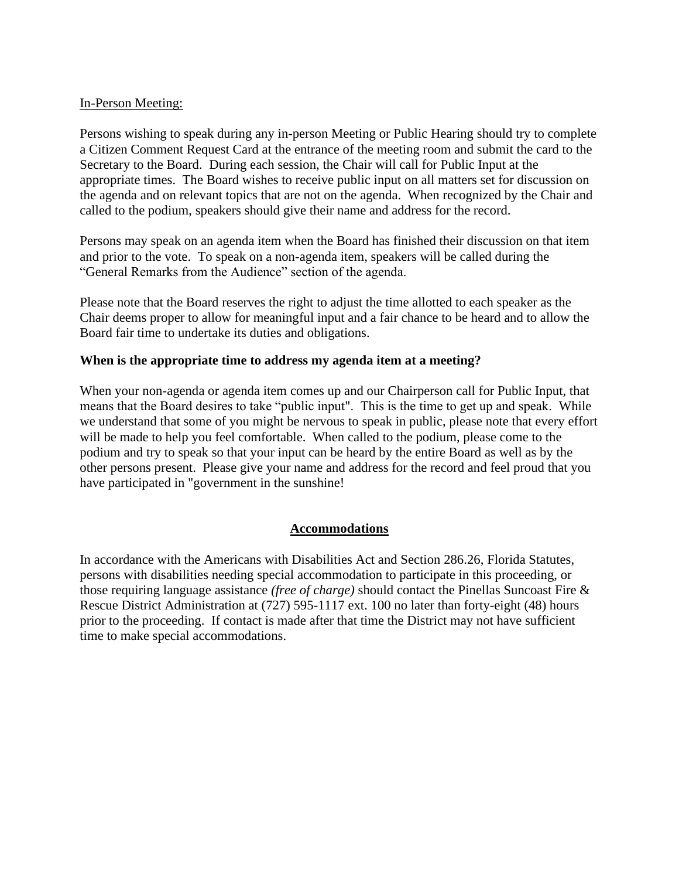#### In-Person Meeting:

Persons wishing to speak during any in-person Meeting or Public Hearing should try to complete a Citizen Comment Request Card at the entrance of the meeting room and submit the card to the Secretary to the Board. During each session, the Chair will call for Public Input at the appropriate times. The Board wishes to receive public input on all matters set for discussion on the agenda and on relevant topics that are not on the agenda. When recognized by the Chair and called to the podium, speakers should give their name and address for the record.

Persons may speak on an agenda item when the Board has finished their discussion on that item and prior to the vote. To speak on a non-agenda item, speakers will be called during the "General Remarks from the Audience" section of the agenda.

Please note that the Board reserves the right to adjust the time allotted to each speaker as the Chair deems proper to allow for meaningful input and a fair chance to be heard and to allow the Board fair time to undertake its duties and obligations.

#### **When is the appropriate time to address my agenda item at a meeting?**

When your non-agenda or agenda item comes up and our Chairperson call for Public Input, that means that the Board desires to take "public input". This is the time to get up and speak. While we understand that some of you might be nervous to speak in public, please note that every effort will be made to help you feel comfortable. When called to the podium, please come to the podium and try to speak so that your input can be heard by the entire Board as well as by the other persons present. Please give your name and address for the record and feel proud that you have participated in "government in the sunshine!

#### **Accommodations**

In accordance with the Americans with Disabilities Act and Section 286.26, Florida Statutes, persons with disabilities needing special accommodation to participate in this proceeding, or those requiring language assistance *(free of charge)* should contact the Pinellas Suncoast Fire & Rescue District Administration at (727) 595-1117 ext. 100 no later than forty-eight (48) hours prior to the proceeding. If contact is made after that time the District may not have sufficient time to make special accommodations.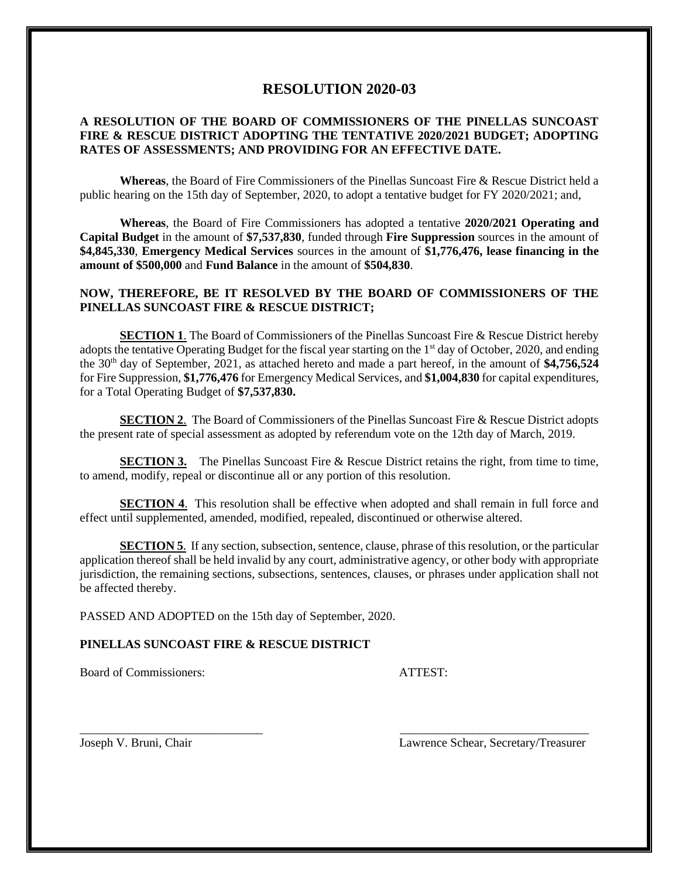#### **RESOLUTION 2020-03**

#### **A RESOLUTION OF THE BOARD OF COMMISSIONERS OF THE PINELLAS SUNCOAST FIRE & RESCUE DISTRICT ADOPTING THE TENTATIVE 2020/2021 BUDGET; ADOPTING RATES OF ASSESSMENTS; AND PROVIDING FOR AN EFFECTIVE DATE.**

**Whereas**, the Board of Fire Commissioners of the Pinellas Suncoast Fire & Rescue District held a public hearing on the 15th day of September, 2020, to adopt a tentative budget for FY 2020/2021; and,

**Whereas**, the Board of Fire Commissioners has adopted a tentative **2020/2021 Operating and Capital Budget** in the amount of **\$7,537,830**, funded through **Fire Suppression** sources in the amount of **\$4,845,330**, **Emergency Medical Services** sources in the amount of **\$1,776,476, lease financing in the amount of \$500,000** and **Fund Balance** in the amount of **\$504,830**.

#### **NOW, THEREFORE, BE IT RESOLVED BY THE BOARD OF COMMISSIONERS OF THE PINELLAS SUNCOAST FIRE & RESCUE DISTRICT;**

**SECTION 1.** The Board of Commissioners of the Pinellas Suncoast Fire & Rescue District hereby adopts the tentative Operating Budget for the fiscal year starting on the 1st day of October, 2020, and ending the 30<sup>th</sup> day of September, 2021, as attached hereto and made a part hereof, in the amount of \$4,756,524 for Fire Suppression, **\$1,776,476** for Emergency Medical Services, and **\$1,004,830** for capital expenditures, for a Total Operating Budget of **\$7,537,830.**

**SECTION 2.** The Board of Commissioners of the Pinellas Suncoast Fire & Rescue District adopts the present rate of special assessment as adopted by referendum vote on the 12th day of March, 2019.

**SECTION 3.** The Pinellas Suncoast Fire & Rescue District retains the right, from time to time, to amend, modify, repeal or discontinue all or any portion of this resolution.

**SECTION 4.** This resolution shall be effective when adopted and shall remain in full force and effect until supplemented, amended, modified, repealed, discontinued or otherwise altered.

**SECTION 5**. If any section, subsection, sentence, clause, phrase of this resolution, or the particular application thereof shall be held invalid by any court, administrative agency, or other body with appropriate jurisdiction, the remaining sections, subsections, sentences, clauses, or phrases under application shall not be affected thereby.

\_\_\_\_\_\_\_\_\_\_\_\_\_\_\_\_\_\_\_\_\_\_\_\_\_\_\_\_\_\_ \_\_\_\_\_\_\_\_\_\_\_\_\_\_\_\_\_\_\_\_\_\_\_\_\_\_\_\_\_\_\_

PASSED AND ADOPTED on the 15th day of September, 2020.

#### **PINELLAS SUNCOAST FIRE & RESCUE DISTRICT**

Board of Commissioners: ATTEST:

Joseph V. Bruni, Chair Lawrence Schear, Secretary/Treasurer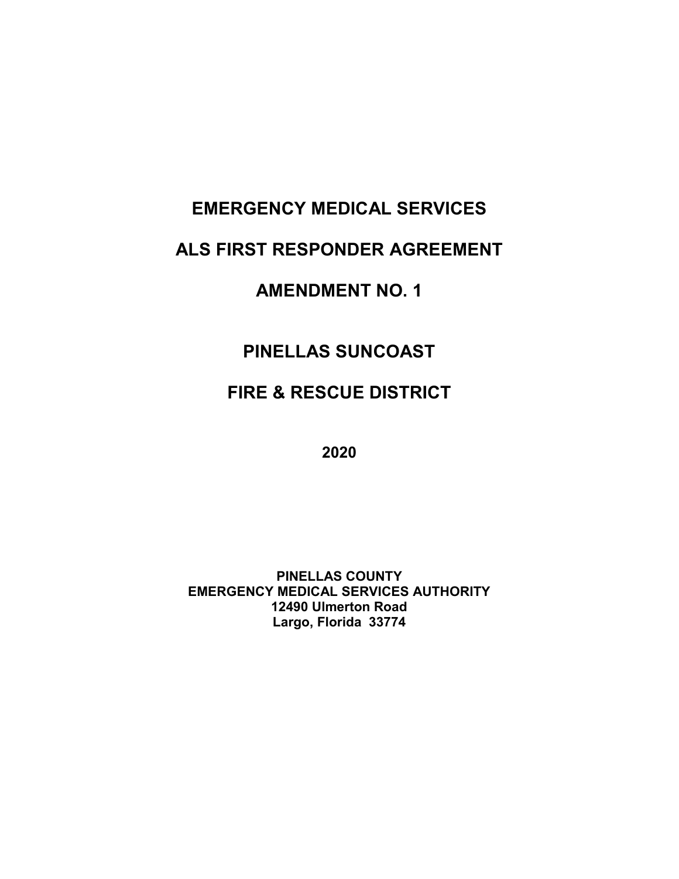# **EMERGENCY MEDICAL SERVICES**

## **ALS FIRST RESPONDER AGREEMENT**

# **AMENDMENT NO. 1**

# **PINELLAS SUNCOAST**

# **FIRE & RESCUE DISTRICT**

**2020**

**PINELLAS COUNTY EMERGENCY MEDICAL SERVICES AUTHORITY 12490 Ulmerton Road Largo, Florida 33774**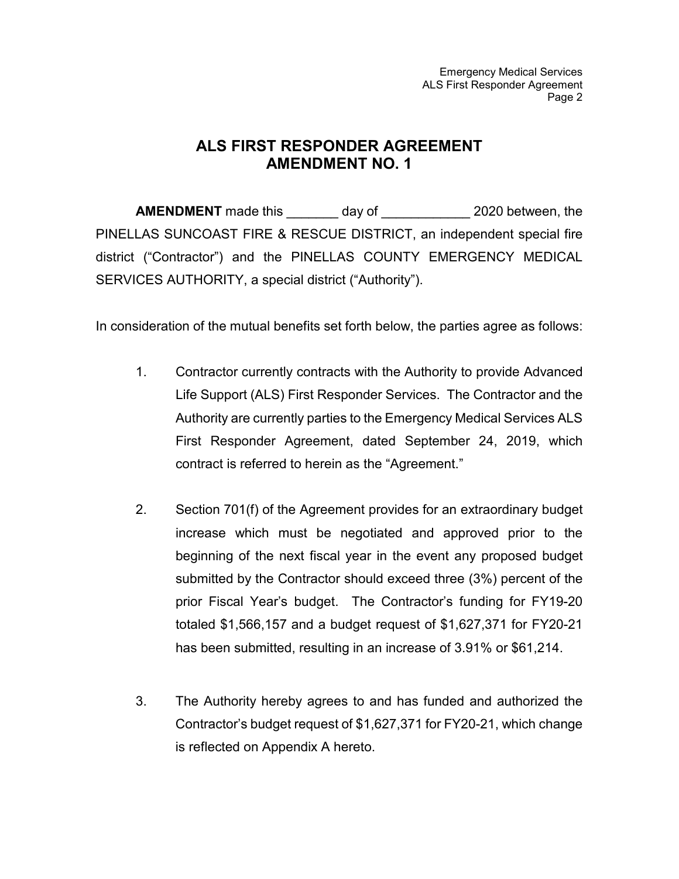Emergency Medical Services ALS First Responder Agreement Page 2

### **ALS FIRST RESPONDER AGREEMENT AMENDMENT NO. 1**

**AMENDMENT** made this day of  $\qquad$  2020 between, the PINELLAS SUNCOAST FIRE & RESCUE DISTRICT, an independent special fire district ("Contractor") and the PINELLAS COUNTY EMERGENCY MEDICAL SERVICES AUTHORITY, a special district ("Authority").

In consideration of the mutual benefits set forth below, the parties agree as follows:

- 1. Contractor currently contracts with the Authority to provide Advanced Life Support (ALS) First Responder Services. The Contractor and the Authority are currently parties to the Emergency Medical Services ALS First Responder Agreement, dated September 24, 2019, which contract is referred to herein as the "Agreement."
- 2. Section 701(f) of the Agreement provides for an extraordinary budget increase which must be negotiated and approved prior to the beginning of the next fiscal year in the event any proposed budget submitted by the Contractor should exceed three (3%) percent of the prior Fiscal Year's budget. The Contractor's funding for FY19-20 totaled \$1,566,157 and a budget request of \$1,627,371 for FY20-21 has been submitted, resulting in an increase of 3.91% or \$61,214.
- 3. The Authority hereby agrees to and has funded and authorized the Contractor's budget request of \$1,627,371 for FY20-21, which change is reflected on Appendix A hereto.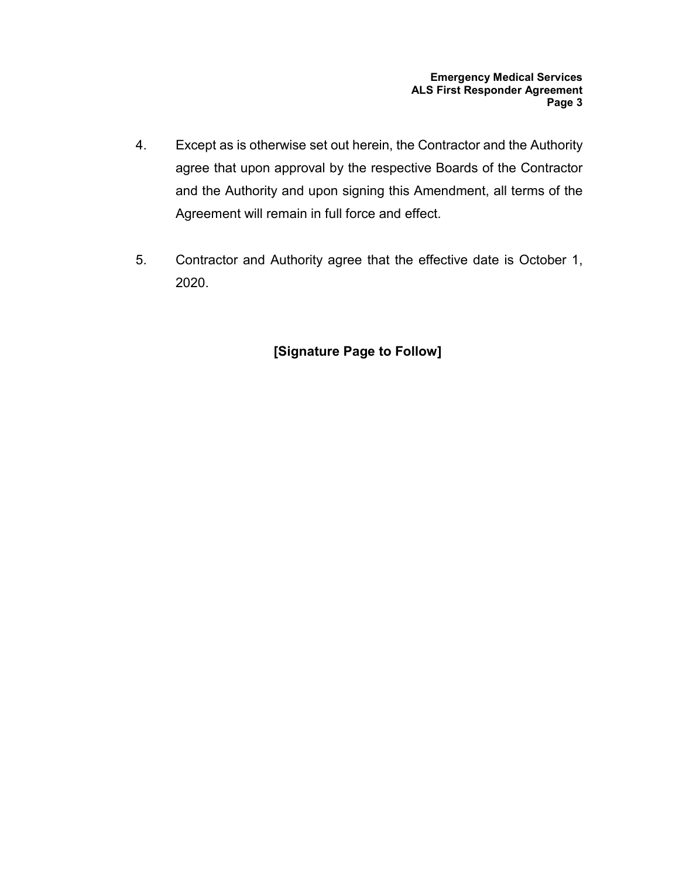- 4. Except as is otherwise set out herein, the Contractor and the Authority agree that upon approval by the respective Boards of the Contractor and the Authority and upon signing this Amendment, all terms of the Agreement will remain in full force and effect.
- 5. Contractor and Authority agree that the effective date is October 1, 2020.

### **[Signature Page to Follow]**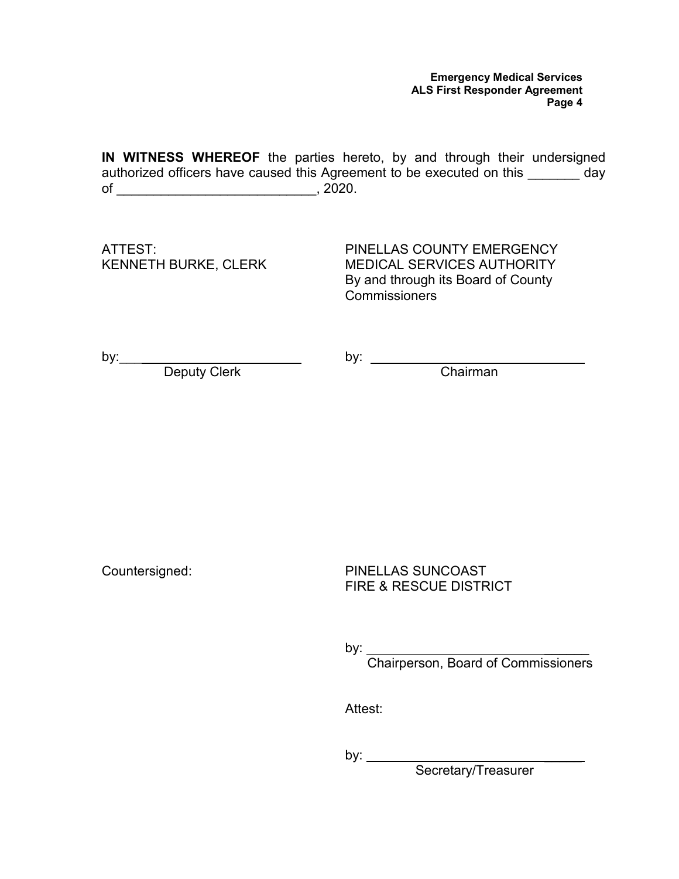**IN WITNESS WHEREOF** the parties hereto, by and through their undersigned authorized officers have caused this Agreement to be executed on this \_\_\_\_\_\_\_ day of \_\_\_\_\_\_\_\_\_\_\_\_\_\_\_\_\_\_\_\_\_\_\_\_\_\_\_\_\_\_\_\_\_\_, 2020.

ATTEST: KENNETH BURKE, CLERK

PINELLAS COUNTY EMERGENCY MEDICAL SERVICES AUTHORITY By and through its Board of County Commissioners

by:\_\_\_\_

by:

Chairman

Deputy Clerk

Countersigned:

PINELLAS SUNCOAST FIRE & RESCUE DISTRICT

by: \_\_\_\_\_\_

Chairperson, Board of Commissioners

Attest:

by: \_\_\_\_\_

Secretary/Treasurer